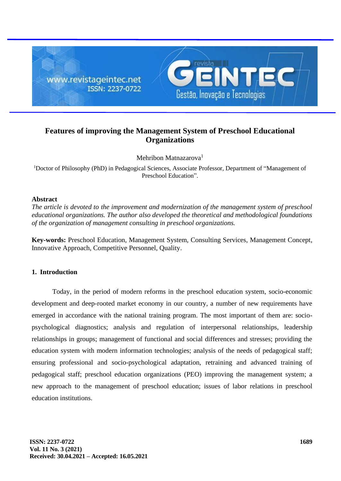

# **Features of improving the Management System of Preschool Educational Organizations**

Mehribon Matnazarova<sup>1</sup>

<sup>1</sup>Doctor of Philosophy (PhD) in Pedagogical Sciences, Associate Professor, Department of "Management of Preschool Education".

## **Abstract**

*The article is devoted to the improvement and modernization of the management system of preschool educational organizations. The author also developed the theoretical and methodological foundations of the organization of management consulting in preschool organizations.*

**Key-words:** Preschool Education, Management System, Consulting Services, Management Concept, Innovative Approach, Competitive Personnel, Quality.

## **1. Introduction**

Today, in the period of modern reforms in the preschool education system, socio-economic development and deep-rooted market economy in our country, a number of new requirements have emerged in accordance with the national training program. The most important of them are: sociopsychological diagnostics; analysis and regulation of interpersonal relationships, leadership relationships in groups; management of functional and social differences and stresses; providing the education system with modern information technologies; analysis of the needs of pedagogical staff; ensuring professional and socio-psychological adaptation, retraining and advanced training of pedagogical staff; preschool education organizations (PEO) improving the management system; a new approach to the management of preschool education; issues of labor relations in preschool education institutions.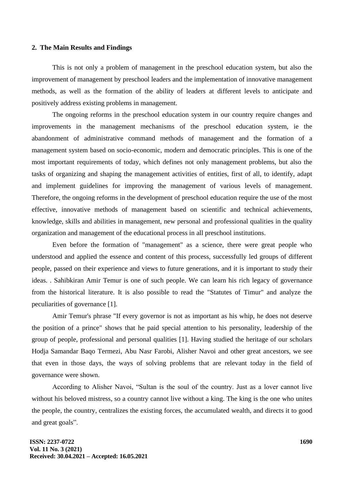#### **2. The Main Results and Findings**

This is not only a problem of management in the preschool education system, but also the improvement of management by preschool leaders and the implementation of innovative management methods, as well as the formation of the ability of leaders at different levels to anticipate and positively address existing problems in management.

The ongoing reforms in the preschool education system in our country require changes and improvements in the management mechanisms of the preschool education system, ie the abandonment of administrative command methods of management and the formation of a management system based on socio-economic, modern and democratic principles. This is one of the most important requirements of today, which defines not only management problems, but also the tasks of organizing and shaping the management activities of entities, first of all, to identify, adapt and implement guidelines for improving the management of various levels of management. Therefore, the ongoing reforms in the development of preschool education require the use of the most effective, innovative methods of management based on scientific and technical achievements, knowledge, skills and abilities in management, new personal and professional qualities in the quality organization and management of the educational process in all preschool institutions.

Even before the formation of "management" as a science, there were great people who understood and applied the essence and content of this process, successfully led groups of different people, passed on their experience and views to future generations, and it is important to study their ideas. . Sahibkiran Amir Temur is one of such people. We can learn his rich legacy of governance from the historical literature. It is also possible to read the "Statutes of Timur" and analyze the peculiarities of governance [1].

Amir Temur's phrase "If every governor is not as important as his whip, he does not deserve the position of a prince" shows that he paid special attention to his personality, leadership of the group of people, professional and personal qualities [1]. Having studied the heritage of our scholars Hodja Samandar Baqo Termezi, Abu Nasr Farobi, Alisher Navoi and other great ancestors, we see that even in those days, the ways of solving problems that are relevant today in the field of governance were shown.

According to Alisher Navoi, "Sultan is the soul of the country. Just as a lover cannot live without his beloved mistress, so a country cannot live without a king. The king is the one who unites the people, the country, centralizes the existing forces, the accumulated wealth, and directs it to good and great goals".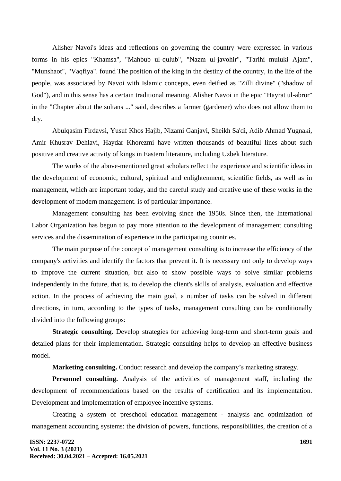Alisher Navoi's ideas and reflections on governing the country were expressed in various forms in his epics "Khamsa", "Mahbub ul-qulub", "Nazm ul-javohir", "Tarihi muluki Ajam", "Munshaot", "Vaqfiya". found The position of the king in the destiny of the country, in the life of the people, was associated by Navoi with Islamic concepts, even deified as "Zilli divine" ("shadow of God"), and in this sense has a certain traditional meaning. Alisher Navoi in the epic "Hayrat ul-abror" in the "Chapter about the sultans ..." said, describes a farmer (gardener) who does not allow them to dry.

Abulqasim Firdavsi, Yusuf Khos Hajib, Nizami Ganjavi, Sheikh Sa'di, Adib Ahmad Yugnaki, Amir Khusrav Dehlavi, Haydar Khorezmi have written thousands of beautiful lines about such positive and creative activity of kings in Eastern literature, including Uzbek literature.

The works of the above-mentioned great scholars reflect the experience and scientific ideas in the development of economic, cultural, spiritual and enlightenment, scientific fields, as well as in management, which are important today, and the careful study and creative use of these works in the development of modern management. is of particular importance.

Management consulting has been evolving since the 1950s. Since then, the International Labor Organization has begun to pay more attention to the development of management consulting services and the dissemination of experience in the participating countries.

The main purpose of the concept of management consulting is to increase the efficiency of the company's activities and identify the factors that prevent it. It is necessary not only to develop ways to improve the current situation, but also to show possible ways to solve similar problems independently in the future, that is, to develop the client's skills of analysis, evaluation and effective action. In the process of achieving the main goal, a number of tasks can be solved in different directions, in turn, according to the types of tasks, management consulting can be conditionally divided into the following groups:

**Strategic consulting.** Develop strategies for achieving long-term and short-term goals and detailed plans for their implementation. Strategic consulting helps to develop an effective business model.

**Marketing consulting.** Conduct research and develop the company's marketing strategy.

**Personnel consulting.** Analysis of the activities of management staff, including the development of recommendations based on the results of certification and its implementation. Development and implementation of employee incentive systems.

Creating a system of preschool education management - analysis and optimization of management accounting systems: the division of powers, functions, responsibilities, the creation of a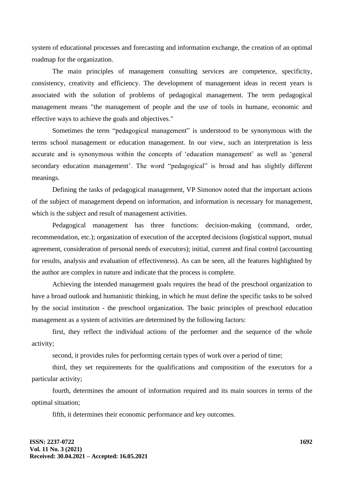system of educational processes and forecasting and information exchange, the creation of an optimal roadmap for the organization.

The main principles of management consulting services are competence, specificity, consistency, creativity and efficiency. The development of management ideas in recent years is associated with the solution of problems of pedagogical management. The term pedagogical management means "the management of people and the use of tools in humane, economic and effective ways to achieve the goals and objectives."

Sometimes the term "pedagogical management" is understood to be synonymous with the terms school management or education management. In our view, such an interpretation is less accurate and is synonymous within the concepts of 'education management' as well as 'general secondary education management'. The word "pedagogical" is broad and has slightly different meanings.

Defining the tasks of pedagogical management, VP Simonov noted that the important actions of the subject of management depend on information, and information is necessary for management, which is the subject and result of management activities.

Pedagogical management has three functions: decision-making (command, order, recommendation, etc.); organization of execution of the accepted decisions (logistical support, mutual agreement, consideration of personal needs of executors); initial, current and final control (accounting for results, analysis and evaluation of effectiveness). As can be seen, all the features highlighted by the author are complex in nature and indicate that the process is complete.

Achieving the intended management goals requires the head of the preschool organization to have a broad outlook and humanistic thinking, in which he must define the specific tasks to be solved by the social institution - the preschool organization. The basic principles of preschool education management as a system of activities are determined by the following factors:

first, they reflect the individual actions of the performer and the sequence of the whole activity;

second, it provides rules for performing certain types of work over a period of time;

third, they set requirements for the qualifications and composition of the executors for a particular activity;

fourth, determines the amount of information required and its main sources in terms of the optimal situation;

fifth, it determines their economic performance and key outcomes.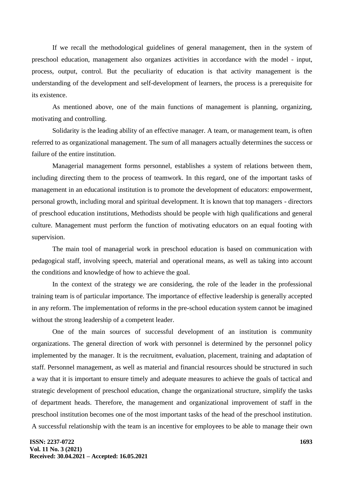If we recall the methodological guidelines of general management, then in the system of preschool education, management also organizes activities in accordance with the model - input, process, output, control. But the peculiarity of education is that activity management is the understanding of the development and self-development of learners, the process is a prerequisite for its existence.

As mentioned above, one of the main functions of management is planning, organizing, motivating and controlling.

Solidarity is the leading ability of an effective manager. A team, or management team, is often referred to as organizational management. The sum of all managers actually determines the success or failure of the entire institution.

Managerial management forms personnel, establishes a system of relations between them, including directing them to the process of teamwork. In this regard, one of the important tasks of management in an educational institution is to promote the development of educators: empowerment, personal growth, including moral and spiritual development. It is known that top managers - directors of preschool education institutions, Methodists should be people with high qualifications and general culture. Management must perform the function of motivating educators on an equal footing with supervision.

The main tool of managerial work in preschool education is based on communication with pedagogical staff, involving speech, material and operational means, as well as taking into account the conditions and knowledge of how to achieve the goal.

In the context of the strategy we are considering, the role of the leader in the professional training team is of particular importance. The importance of effective leadership is generally accepted in any reform. The implementation of reforms in the pre-school education system cannot be imagined without the strong leadership of a competent leader.

One of the main sources of successful development of an institution is community organizations. The general direction of work with personnel is determined by the personnel policy implemented by the manager. It is the recruitment, evaluation, placement, training and adaptation of staff. Personnel management, as well as material and financial resources should be structured in such a way that it is important to ensure timely and adequate measures to achieve the goals of tactical and strategic development of preschool education, change the organizational structure, simplify the tasks of department heads. Therefore, the management and organizational improvement of staff in the preschool institution becomes one of the most important tasks of the head of the preschool institution. A successful relationship with the team is an incentive for employees to be able to manage their own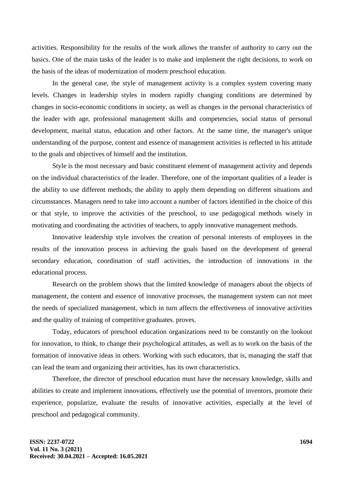activities. Responsibility for the results of the work allows the transfer of authority to carry out the basics. One of the main tasks of the leader is to make and implement the right decisions, to work on the basis of the ideas of modernization of modern preschool education.

In the general case, the style of management activity is a complex system covering many levels. Changes in leadership styles in modern rapidly changing conditions are determined by changes in socio-economic conditions in society, as well as changes in the personal characteristics of the leader with age, professional management skills and competencies, social status of personal development, marital status, education and other factors. At the same time, the manager's unique understanding of the purpose, content and essence of management activities is reflected in his attitude to the goals and objectives of himself and the institution.

Style is the most necessary and basic constituent element of management activity and depends on the individual characteristics of the leader. Therefore, one of the important qualities of a leader is the ability to use different methods, the ability to apply them depending on different situations and circumstances. Managers need to take into account a number of factors identified in the choice of this or that style, to improve the activities of the preschool, to use pedagogical methods wisely in motivating and coordinating the activities of teachers, to apply innovative management methods.

Innovative leadership style involves the creation of personal interests of employees in the results of the innovation process in achieving the goals based on the development of general secondary education, coordination of staff activities, the introduction of innovations in the educational process.

Research on the problem shows that the limited knowledge of managers about the objects of management, the content and essence of innovative processes, the management system can not meet the needs of specialized management, which in turn affects the effectiveness of innovative activities and the quality of training of competitive graduates. proves.

Today, educators of preschool education organizations need to be constantly on the lookout for innovation, to think, to change their psychological attitudes, as well as to work on the basis of the formation of innovative ideas in others. Working with such educators, that is, managing the staff that can lead the team and organizing their activities, has its own characteristics.

Therefore, the director of preschool education must have the necessary knowledge, skills and abilities to create and implement innovations, effectively use the potential of inventors, promote their experience, popularize, evaluate the results of innovative activities, especially at the level of preschool and pedagogical community.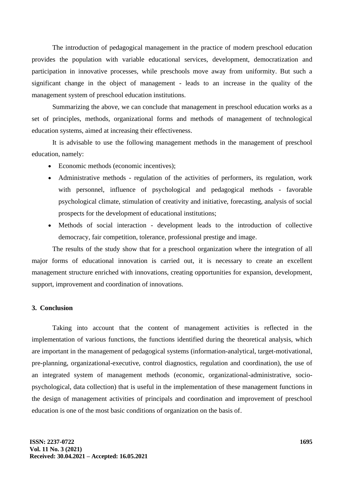The introduction of pedagogical management in the practice of modern preschool education provides the population with variable educational services, development, democratization and participation in innovative processes, while preschools move away from uniformity. But such a significant change in the object of management - leads to an increase in the quality of the management system of preschool education institutions.

Summarizing the above, we can conclude that management in preschool education works as a set of principles, methods, organizational forms and methods of management of technological education systems, aimed at increasing their effectiveness.

It is advisable to use the following management methods in the management of preschool education, namely:

- Economic methods (economic incentives);
- Administrative methods regulation of the activities of performers, its regulation, work with personnel, influence of psychological and pedagogical methods - favorable psychological climate, stimulation of creativity and initiative, forecasting, analysis of social prospects for the development of educational institutions;
- Methods of social interaction development leads to the introduction of collective democracy, fair competition, tolerance, professional prestige and image.

The results of the study show that for a preschool organization where the integration of all major forms of educational innovation is carried out, it is necessary to create an excellent management structure enriched with innovations, creating opportunities for expansion, development, support, improvement and coordination of innovations.

### **3. Conclusion**

Taking into account that the content of management activities is reflected in the implementation of various functions, the functions identified during the theoretical analysis, which are important in the management of pedagogical systems (information-analytical, target-motivational, pre-planning, organizational-executive, control diagnostics, regulation and coordination), the use of an integrated system of management methods (economic, organizational-administrative, sociopsychological, data collection) that is useful in the implementation of these management functions in the design of management activities of principals and coordination and improvement of preschool education is one of the most basic conditions of organization on the basis of.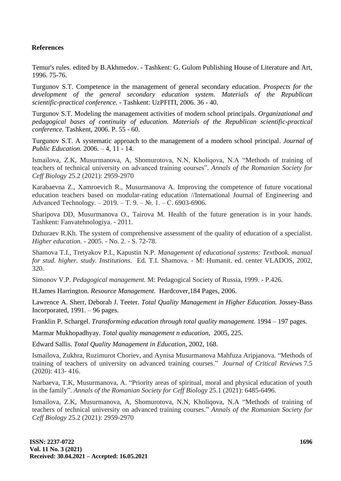## **References**

Temur's rules. edited by B.Akhmedov. - Tashkent: G. Gulom Publishing House of Literature and Art, 1996. 75-76.

Turgunov S.T. Competence in the management of general secondary education. *Prospects for the development of the general secondary education system. Materials of the Republican scientific-practical conference.* - Tashkent: UzPFITI, 2006. 36 - 40.

Turgunov S.T. Modeling the management activities of modern school principals. *Organizational and pedagogical bases of continuity of education. Materials of the Republican scientific-practical conference.* Tashkent, 2006. P. 55 - 60.

Turgunov S.T. A systematic approach to the management of a modern school principal. *Journal of Public Education.* 2006. – 4, 11 - 14.

Ismailova, Z.K, Musurmanova, A, Shomurotova, N.N, Kholiqova, N.A "Methods of training of teachers of technical university on advanced training courses". *Annals of the Romanian Society for Ceff Biology* 25.2 (2021): 2959-2970

Karabaevna Z., Xamroevich R., Musurmanova A. Improving the competence of future vocational education teachers based on modular-rating education //International Journal of Engineering and Advanced Technology. – 2019. – T. 9. – №. 1. – С. 6903-6906.

Sharipova DD, Musurmanova O., Tairova M. Health of the future generation is in your hands. Tashkent: Fanvatehnologiya. - 2011.

Dzhuraev R.Kh. The system of comprehensive assessment of the quality of education of a specialist. *Higher education.* - 2005. - No. 2. - S. 72-78.

Shamova T.I., Tretyakov P.I., Kapustin N.P. *Management of educational systems: Textbook. manual for stud. higher. study. Institutions.* Ed. T.I. Shamova. - M: Humanit. ed. center VLADOS, 2002, 320.

Simonov V.P. *Pedagogical management.* M: Pedagogical Society of Russia, 1999. - P.426.

H.James Harrington. *[Resource Management.](http://asq.org/quality-press/display-item/?item=P1271)* Hardcover,184 Pages, 2006.

Lawrence A. Sherr, Deborah J. Teeter. *Total Quality Management in Higher Education.* Jossey-Bass Incorporated, 1991. – 96 pages.

Franklin P. Schargel. *[Transforming education through total quality management.](http://books.google.com/books/about/Transforming_education_through_total_qua.html?id=k_FJAAAAYAAJ)* 1994 – 197 pages.

Marmar Mukhopadhyay. *[Total quality management n education,](http://books.google.com/books/about/Total_quality_management_in_education.html?id=Mg9KAAAAYAAJ)* 2005, 225.

Edward Sallis. *[Total Quality Management in Education,](http://books.google.com/books/about/Total_Quality_Management_in_Education.html?id=joh-QfecoZgC)* 2002, 168.

Ismailova, Zukhra, Ruzimurot Choriev, and Aynisa Musurmanova Mahfuza Aripjanova. "Methods of training of teachers of university on advanced training courses." *Journal of Critical Reviews* 7.5 (2020): 413- 416.

Narbaeva, T.K, Musurmanova, A. "Priority areas of spiritual, moral and physical education of youth in the family". *Annals of the Romanian Society for Ceff Biology* 25.1 (2021): 6485-6496.

Ismailova, Z.K, Musurmanova, A, Shomurotova, N.N, Kholiqova, N.A "Methods of training of teachers of technical university on advanced training courses." *Annals of the Romanian Society for Ceff Biology* 25.2 (2021): 2959-2970